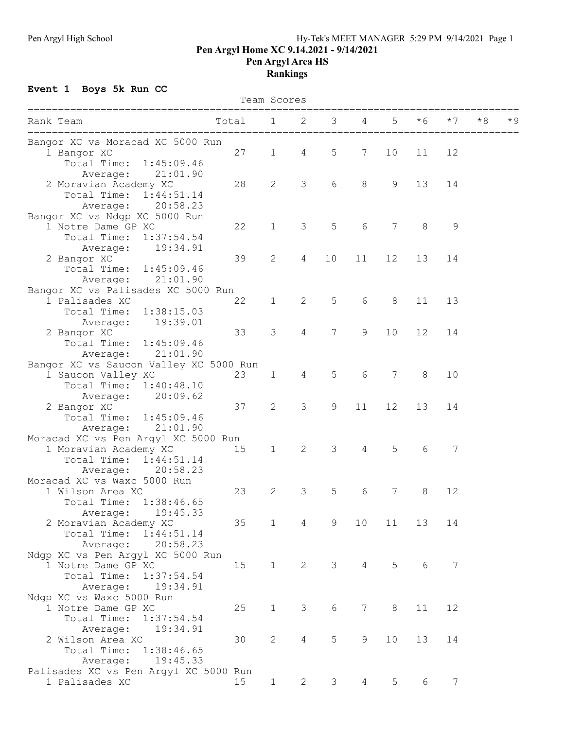## Pen Argyl High School **Figure 2018** Hy-Tek's MEET MANAGER 5:29 PM 9/14/2021 Page 1 Pen Argyl Home XC 9.14.2021 - 9/14/2021 Pen Argyl Area HS Rankings

## Event 1 Boys 5k Run CC

| Team Scores                            |       |              |                |                |                 |       |     |     |     |           |
|----------------------------------------|-------|--------------|----------------|----------------|-----------------|-------|-----|-----|-----|-----------|
| Rank Team                              | Total | 1            | 2              | 3              |                 | 5     | * 6 | * 7 | * 8 | $\star$ 9 |
| Bangor XC vs Moracad XC 5000 Run       |       |              |                |                |                 |       |     |     |     |           |
| 1 Bangor XC                            | 27    | $\mathbf 1$  | 4              | 5              | 7               | 10    | 11  | 12  |     |           |
| Total Time:<br>1:45:09.46              |       |              |                |                |                 |       |     |     |     |           |
| 21:01.90<br>Average:                   |       |              |                |                |                 |       |     |     |     |           |
| 2 Moravian Academy XC                  | 28    | 2            | 3              | 6              | 8               | 9     | 13  | 14  |     |           |
| Total Time:<br>1:44:51.14              |       |              |                |                |                 |       |     |     |     |           |
| 20:58.23<br>Average:                   |       |              |                |                |                 |       |     |     |     |           |
| Bangor XC vs Ndgp XC 5000 Run          |       |              |                |                |                 |       |     |     |     |           |
| 1 Notre Dame GP XC                     | 22    | $\mathbf 1$  | 3              | 5              | 6               | 7     | 8   | 9   |     |           |
| Total Time:<br>1:37:54.54              |       |              |                |                |                 |       |     |     |     |           |
| 19:34.91<br>Average:                   |       |              |                |                |                 |       |     |     |     |           |
| 2 Bangor XC                            | 39    | 2            | 4              | 10             | 11              | 12    | 13  | 14  |     |           |
| Total Time:<br>1:45:09.46              |       |              |                |                |                 |       |     |     |     |           |
| 21:01.90<br>Average:                   |       |              |                |                |                 |       |     |     |     |           |
| Bangor XC vs Palisades XC 5000 Run     |       |              |                |                |                 |       |     |     |     |           |
| 1 Palisades XC                         | 22    | $\mathbf 1$  | $\overline{2}$ | 5              | 6               | $8\,$ | 11  | 13  |     |           |
| Total Time:<br>1:38:15.03              |       |              |                |                |                 |       |     |     |     |           |
| 19:39.01<br>Average:                   |       |              |                |                |                 |       |     |     |     |           |
| 2 Bangor XC                            | 33    | 3            | $\overline{4}$ | 7              | 9               | 10    | 12  | 14  |     |           |
| Total Time:<br>1:45:09.46              |       |              |                |                |                 |       |     |     |     |           |
| 21:01.90<br>Average:                   |       |              |                |                |                 |       |     |     |     |           |
| Bangor XC vs Saucon Valley XC 5000 Run |       |              |                |                |                 |       |     |     |     |           |
| 1 Saucon Valley XC                     | 23    | $\mathbf 1$  | 4              | 5              | 6               | 7     | 8   | 10  |     |           |
| Total Time:<br>1:40:48.10              |       |              |                |                |                 |       |     |     |     |           |
| 20:09.62<br>Average:                   |       |              |                |                |                 |       |     |     |     |           |
| 2 Bangor XC                            | 37    | 2            | 3              | 9              | 11              | 12    | 13  | 14  |     |           |
| Total Time:<br>1:45:09.46              |       |              |                |                |                 |       |     |     |     |           |
| 21:01.90<br>Average:                   |       |              |                |                |                 |       |     |     |     |           |
| Moracad XC vs Pen Argyl XC 5000 Run    |       |              |                |                |                 |       |     |     |     |           |
| 1 Moravian Academy XC                  | 15    | $\mathbf 1$  | 2              | 3              | 4               | 5     | 6   | 7   |     |           |
| Total Time:<br>1:44:51.14              |       |              |                |                |                 |       |     |     |     |           |
| 20:58.23<br>Average:                   |       |              |                |                |                 |       |     |     |     |           |
| Moracad XC vs Waxc 5000 Run            |       |              |                |                |                 |       |     |     |     |           |
| 1 Wilson Area XC                       | 23    | 2            | 3              | 5              | 6               | 7     | 8   | 12  |     |           |
| Total Time: 1:38:46.65                 |       |              |                |                |                 |       |     |     |     |           |
| 19:45.33<br>Average:                   |       |              |                |                |                 |       |     |     |     |           |
| 2 Moravian Academy XC                  | 35    | $\mathbf{1}$ | $\overline{4}$ | 9              | 10              | 11    | 13  | 14  |     |           |
| Total Time:<br>1:44:51.14              |       |              |                |                |                 |       |     |     |     |           |
| 20:58.23<br>Average:                   |       |              |                |                |                 |       |     |     |     |           |
| Ndgp XC vs Pen Argyl XC 5000 Run       |       |              |                |                |                 |       |     |     |     |           |
| 1 Notre Dame GP XC                     | 15    | $\mathbf{1}$ | $\overline{2}$ | $\mathcal{S}$  | $\overline{4}$  | 5     | 6   | 7   |     |           |
| Total Time: 1:37:54.54                 |       |              |                |                |                 |       |     |     |     |           |
| 19:34.91<br>Average:                   |       |              |                |                |                 |       |     |     |     |           |
| Ndgp XC vs Waxc 5000 Run               |       |              |                |                |                 |       |     |     |     |           |
| 1 Notre Dame GP XC                     | 25    | $\mathbf 1$  | 3              | 6              | $7\phantom{.0}$ | 8     | 11  | 12  |     |           |
| Total Time:<br>1:37:54.54              |       |              |                |                |                 |       |     |     |     |           |
| 19:34.91<br>Average:                   |       |              |                |                |                 |       |     |     |     |           |
| 2 Wilson Area XC                       | 30    | $\mathbf{2}$ | 4              | 5              | 9               | 10    | 13  | 14  |     |           |
| Total Time:<br>1:38:46.65              |       |              |                |                |                 |       |     |     |     |           |
| 19:45.33<br>Average:                   |       |              |                |                |                 |       |     |     |     |           |
| Palisades XC vs Pen Argyl XC 5000 Run  |       |              |                |                |                 |       |     |     |     |           |
| 1 Palisades XC                         | 15    | $\mathbf{1}$ | $\mathbf{2}$   | 3 <sup>7</sup> | $\overline{4}$  | 5     | 6   | 7   |     |           |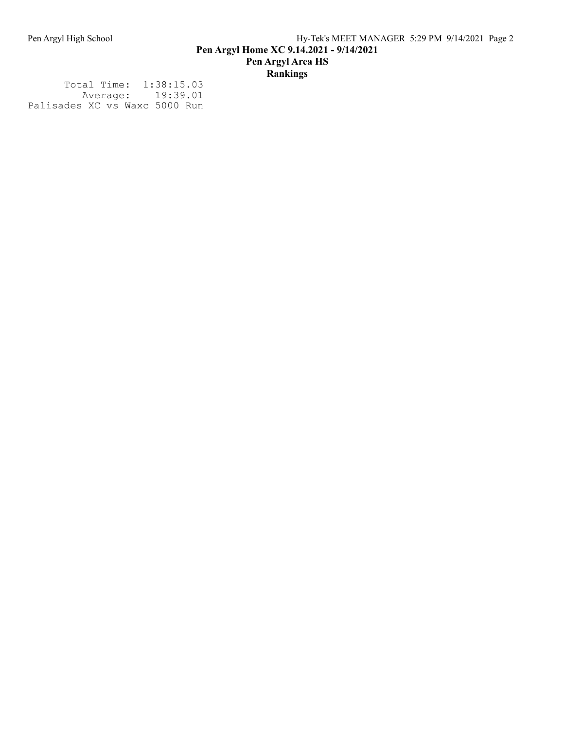Total Time: 1:38:15.03 Average: 19:39.01 Palisades XC vs Waxc 5000 Run